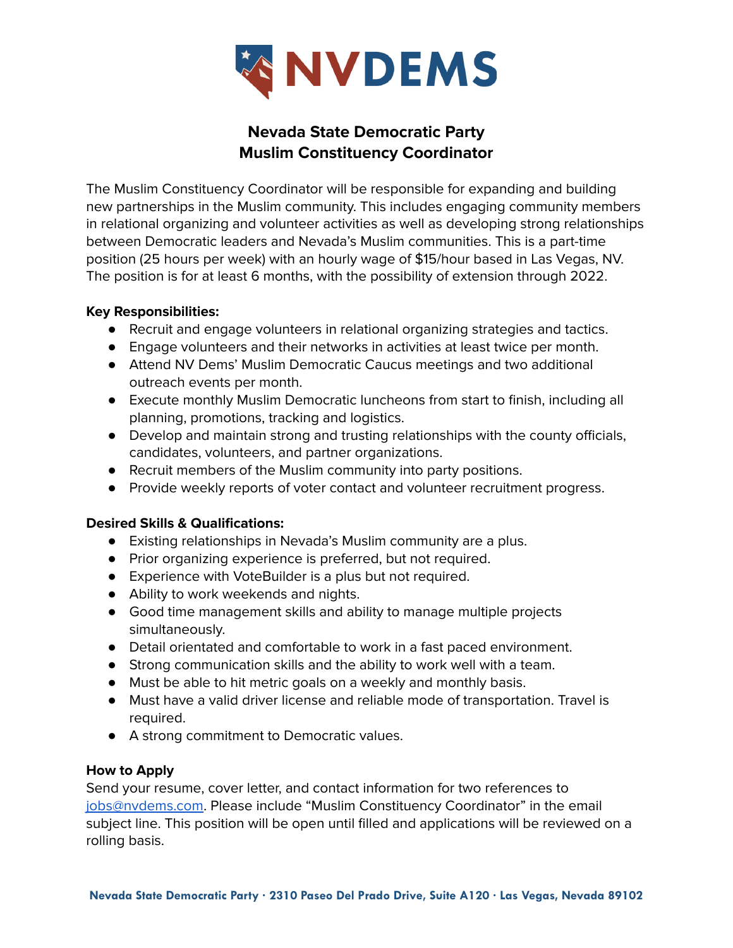

# **Nevada State Democratic Party Muslim Constituency Coordinator**

The Muslim Constituency Coordinator will be responsible for expanding and building new partnerships in the Muslim community. This includes engaging community members in relational organizing and volunteer activities as well as developing strong relationships between Democratic leaders and Nevada's Muslim communities. This is a part-time position (25 hours per week) with an hourly wage of \$15/hour based in Las Vegas, NV. The position is for at least 6 months, with the possibility of extension through 2022.

#### **Key Responsibilities:**

- Recruit and engage volunteers in relational organizing strategies and tactics.
- Engage volunteers and their networks in activities at least twice per month.
- Attend NV Dems' Muslim Democratic Caucus meetings and two additional outreach events per month.
- Execute monthly Muslim Democratic luncheons from start to finish, including all planning, promotions, tracking and logistics.
- Develop and maintain strong and trusting relationships with the county officials, candidates, volunteers, and partner organizations.
- Recruit members of the Muslim community into party positions.
- Provide weekly reports of voter contact and volunteer recruitment progress.

## **Desired Skills & Qualifications:**

- Existing relationships in Nevada's Muslim community are a plus.
- Prior organizing experience is preferred, but not required.
- Experience with VoteBuilder is a plus but not required.
- Ability to work weekends and nights.
- Good time management skills and ability to manage multiple projects simultaneously.
- Detail orientated and comfortable to work in a fast paced environment.
- Strong communication skills and the ability to work well with a team.
- Must be able to hit metric goals on a weekly and monthly basis.
- Must have a valid driver license and reliable mode of transportation. Travel is required.
- A strong commitment to Democratic values.

## **How to Apply**

Send your resume, cover letter, and contact information for two references to [jobs@nvdems.com](mailto:jobs@nvdems.com). Please include "Muslim Constituency Coordinator" in the email subject line. This position will be open until filled and applications will be reviewed on a rolling basis.